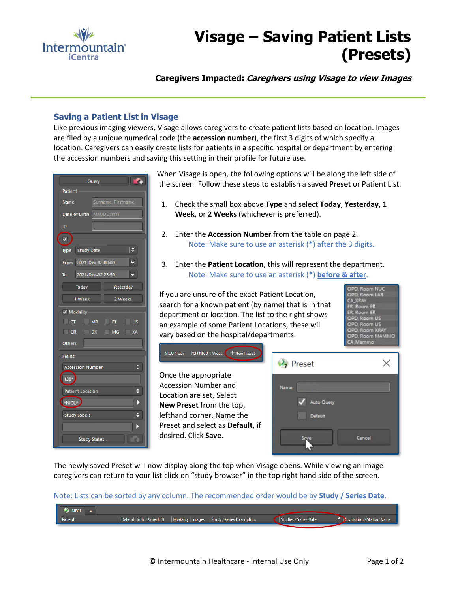

## **Visage – Saving Patient Lists (Presets)**

**Caregivers Impacted: Caregivers using Visage to view Images**

## **Saving a Patient List in Visage**

Like previous imaging viewers, Visage allows caregivers to create patient lists based on location. Images are filed by a unique numerical code (the **accession number**), the first 3 digits of which specify a location. Caregivers can easily create lists for patients in a specific hospital or department by entering the accession numbers and saving this setting in their profile for future use.



When Visage is open, the following options will be along the left side of the screen. Follow these steps to establish a saved **Preset** or Patient List.

- 1. Check the small box above **Type** and select **Today**, **Yesterday**, **1 Week**, or **2 Weeks** (whichever is preferred).
- 2. Enter the **Accession Number** from the table on page 2. Note: Make sure to use an asterisk (**\***) after the 3 digits.
- 3. Enter the **Patient Location**, this will represent the department. Note: Make sure to use an asterisk (**\***) **before & after**.

If you are unsure of the exact Patient Location, search for a known patient (by name) that is in that department or location. The list to the right shows an example of some Patient Locations, these will vary based on the hospital/departments.

OPD, Room NUC OPD, Room LAB CA XRAY ER, Room ER Room ER OPD, Room US PD, Room US OPD, Room XRAY<br>OPD, Room MAMMO



The newly saved Preset will now display along the top when Visage opens. While viewing an image caregivers can return to your list click on "study browser" in the top right hand side of the screen.

Note: Lists can be sorted by any column. The recommended order would be by **Study / Series Date**.

| IMP01   |                            |                                                |                       |                                    |
|---------|----------------------------|------------------------------------------------|-----------------------|------------------------------------|
| Patient | Date of Birth   Patient ID | Modality   Images   Study / Series Description | Studies / Series Date | <b>Dinstitution / Station Name</b> |
|         |                            |                                                |                       |                                    |